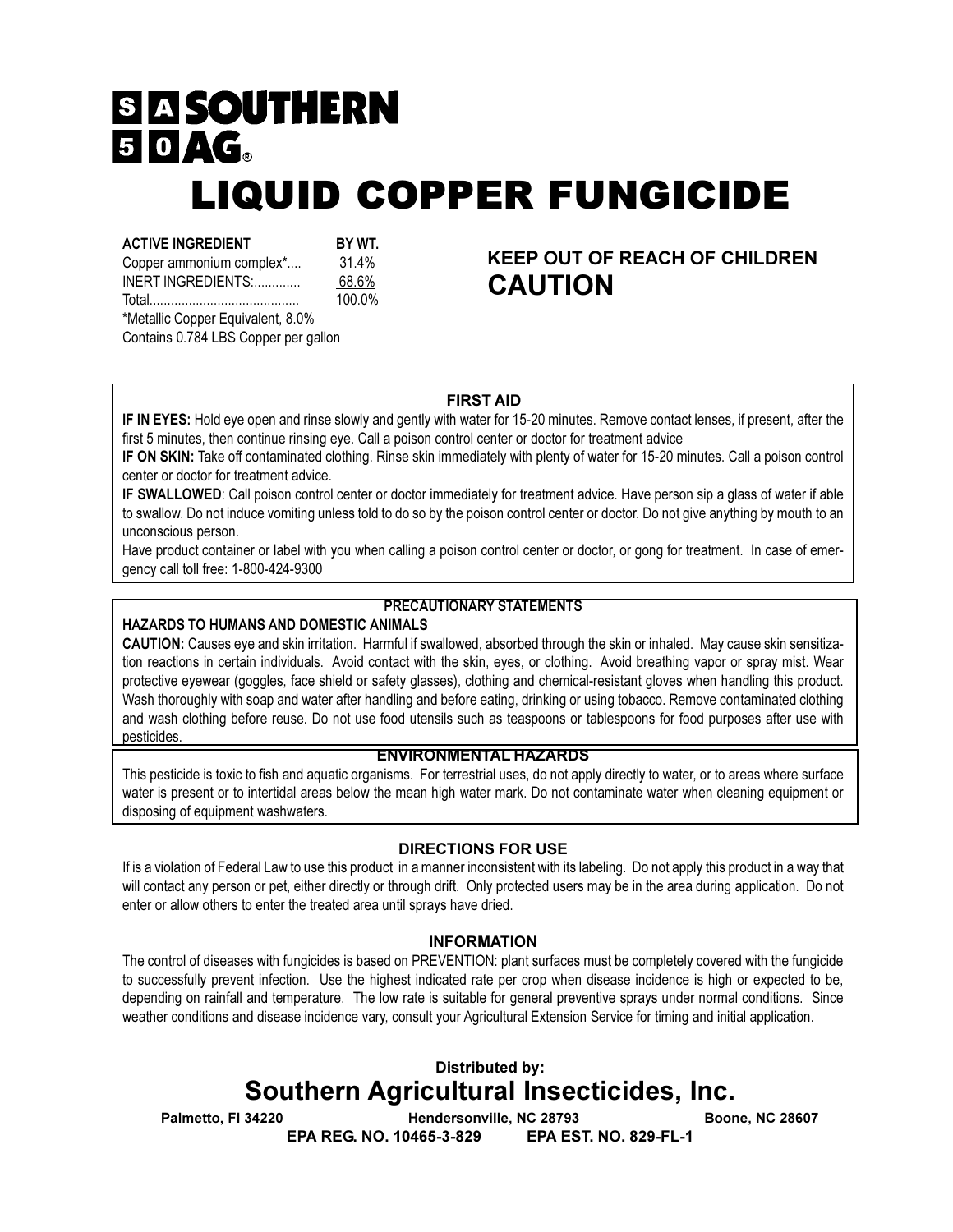# **SI A SOUTHERN** 50AG **LIQUID COPPER FUNGICIDE**

#### **ACTIVE INGREDIENT**

BY WT. 31.4% Copper ammonium complex\*.... 68.6% INERT INGREDIENTS:.............

100.0% \*Metallic Copper Equivalent, 8.0%

Contains 0.784 LBS Copper per gallon

**KEEP OUT OF REACH OF CHILDREN CAUTION** 

## **FIRST AID**

IF IN EYES: Hold eye open and rinse slowly and gently with water for 15-20 minutes. Remove contact lenses, if present, after the first 5 minutes, then continue rinsing eye. Call a poison control center or doctor for treatment advice

IF ON SKIN: Take off contaminated clothing. Rinse skin immediately with plenty of water for 15-20 minutes. Call a poison control center or doctor for treatment advice.

IF SWALLOWED: Call poison control center or doctor immediately for treatment advice. Have person sip a glass of water if able to swallow. Do not induce vomiting unless told to do so by the poison control center or doctor. Do not give anything by mouth to an unconscious person.

Have product container or label with you when calling a poison control center or doctor, or gong for treatment. In case of emergency call toll free: 1-800-424-9300

## **PRECAUTIONARY STATEMENTS**

#### HAZARDS TO HUMANS AND DOMESTIC ANIMALS

CAUTION: Causes eye and skin irritation. Harmful if swallowed, absorbed through the skin or inhaled. May cause skin sensitization reactions in certain individuals. Avoid contact with the skin, eyes, or clothing. Avoid breathing vapor or spray mist. Wear protective eyewear (goggles, face shield or safety glasses), clothing and chemical-resistant gloves when handling this product. Wash thoroughly with soap and water after handling and before eating, drinking or using tobacco. Remove contaminated clothing and wash clothing before reuse. Do not use food utensils such as teaspoons or tablespoons for food purposes after use with pesticides.

# **ENVIRONMENTAL HAZARDS**

This pesticide is toxic to fish and aquatic organisms. For terrestrial uses, do not apply directly to water, or to areas where surface water is present or to intertidal areas below the mean high water mark. Do not contaminate water when cleaning equipment or disposing of equipment washwaters.

## **DIRECTIONS FOR USE**

If is a violation of Federal Law to use this product in a manner inconsistent with its labeling. Do not apply this product in a way that will contact any person or pet, either directly or through drift. Only protected users may be in the area during application. Do not enter or allow others to enter the treated area until sprays have dried.

#### **INFORMATION**

The control of diseases with fungicides is based on PREVENTION: plant surfaces must be completely covered with the fungicide to successfully prevent infection. Use the highest indicated rate per crop when disease incidence is high or expected to be, depending on rainfall and temperature. The low rate is suitable for general preventive sprays under normal conditions. Since weather conditions and disease incidence vary, consult your Agricultural Extension Service for timing and initial application.

# **Distributed by: Southern Agricultural Insecticides, Inc.**

**EPA EST. NO. 829-FL-1** 

Palmetto, FI 34220

Hendersonville, NC 28793 EPA REG. NO. 10465-3-829

**Boone, NC 28607**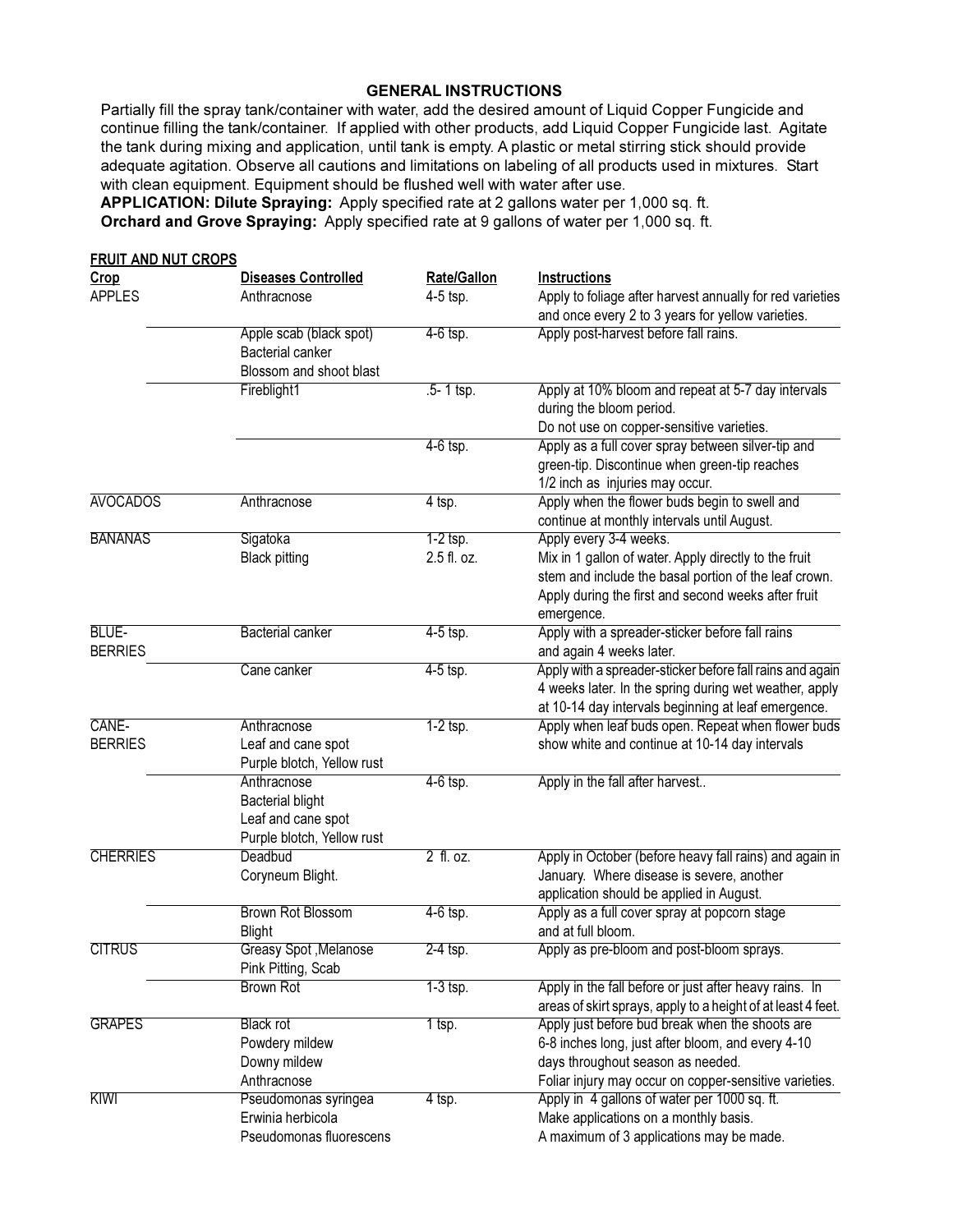#### **GENERAL INSTRUCTIONS**

Partially fill the spray tank/container with water, add the desired amount of Liquid Copper Fungicide and continue filling the tank/container. If applied with other products, add Liquid Copper Fungicide last. Agitate the tank during mixing and application, until tank is empty. A plastic or metal stirring stick should provide adequate agitation. Observe all cautions and limitations on labeling of all products used in mixtures. Start with clean equipment. Equipment should be flushed well with water after use.

APPLICATION: Dilute Spraying: Apply specified rate at 2 gallons water per 1,000 sq. ft. Orchard and Grove Spraying: Apply specified rate at 9 gallons of water per 1,000 sq. ft.

| <b>FRUIT AND NUT CROPS</b><br>Crop | <b>Diseases Controlled</b>                                                                 | Rate/Gallon               | <b>Instructions</b>                                                                                                                                                                                           |
|------------------------------------|--------------------------------------------------------------------------------------------|---------------------------|---------------------------------------------------------------------------------------------------------------------------------------------------------------------------------------------------------------|
| <b>APPLES</b>                      | Anthracnose                                                                                | 4-5 tsp.                  | Apply to foliage after harvest annually for red varieties<br>and once every 2 to 3 years for yellow varieties.                                                                                                |
|                                    | Apple scab (black spot)<br><b>Bacterial canker</b><br>Blossom and shoot blast              | $4-6$ tsp.                | Apply post-harvest before fall rains.                                                                                                                                                                         |
|                                    | Fireblight1                                                                                | $.5 - 1$ tsp.             | Apply at 10% bloom and repeat at 5-7 day intervals<br>during the bloom period.<br>Do not use on copper-sensitive varieties.                                                                                   |
|                                    |                                                                                            | $4-6$ tsp.                | Apply as a full cover spray between silver-tip and<br>green-tip. Discontinue when green-tip reaches<br>1/2 inch as injuries may occur.                                                                        |
| <b>AVOCADOS</b>                    | Anthracnose                                                                                | 4 tsp.                    | Apply when the flower buds begin to swell and<br>continue at monthly intervals until August.                                                                                                                  |
| <b>BANANAS</b>                     | Sigatoka<br><b>Black pitting</b>                                                           | $1-2$ tsp.<br>2.5 fl. oz. | Apply every 3-4 weeks.<br>Mix in 1 gallon of water. Apply directly to the fruit<br>stem and include the basal portion of the leaf crown.<br>Apply during the first and second weeks after fruit<br>emergence. |
| BLUE-<br><b>BERRIES</b>            | <b>Bacterial canker</b>                                                                    | $4-5$ tsp.                | Apply with a spreader-sticker before fall rains<br>and again 4 weeks later.                                                                                                                                   |
|                                    | Cane canker                                                                                | $4-5$ tsp.                | Apply with a spreader-sticker before fall rains and again<br>4 weeks later. In the spring during wet weather, apply<br>at 10-14 day intervals beginning at leaf emergence.                                    |
| CANE-<br><b>BERRIES</b>            | Anthracnose<br>Leaf and cane spot<br>Purple blotch, Yellow rust                            | $1-2$ tsp.                | Apply when leaf buds open. Repeat when flower buds<br>show white and continue at 10-14 day intervals                                                                                                          |
|                                    | Anthracnose<br><b>Bacterial blight</b><br>Leaf and cane spot<br>Purple blotch, Yellow rust | $4-6$ tsp.                | Apply in the fall after harvest                                                                                                                                                                               |
| <b>CHERRIES</b>                    | Deadbud<br>Coryneum Blight.                                                                | 2 fl. oz.                 | Apply in October (before heavy fall rains) and again in<br>January. Where disease is severe, another<br>application should be applied in August.                                                              |
|                                    | <b>Brown Rot Blossom</b><br><b>Blight</b>                                                  | $4-6$ tsp.                | Apply as a full cover spray at popcorn stage<br>and at full bloom.                                                                                                                                            |
| <b>CITRUS</b>                      | Greasy Spot, Melanose<br>Pink Pitting, Scab                                                | $2-4$ tsp.                | Apply as pre-bloom and post-bloom sprays.                                                                                                                                                                     |
|                                    | <b>Brown Rot</b>                                                                           | $1-3$ tsp.                | Apply in the fall before or just after heavy rains. In<br>areas of skirt sprays, apply to a height of at least 4 feet.                                                                                        |
| <b>GRAPES</b>                      | <b>Black rot</b><br>Powdery mildew<br>Downy mildew<br>Anthracnose                          | $1$ tsp.                  | Apply just before bud break when the shoots are<br>6-8 inches long, just after bloom, and every 4-10<br>days throughout season as needed.<br>Foliar injury may occur on copper-sensitive varieties.           |
| KIWI                               | Pseudomonas syringea<br>Erwinia herbicola<br>Pseudomonas fluorescens                       | $4$ tsp.                  | Apply in 4 gallons of water per 1000 sq. ft.<br>Make applications on a monthly basis.<br>A maximum of 3 applications may be made.                                                                             |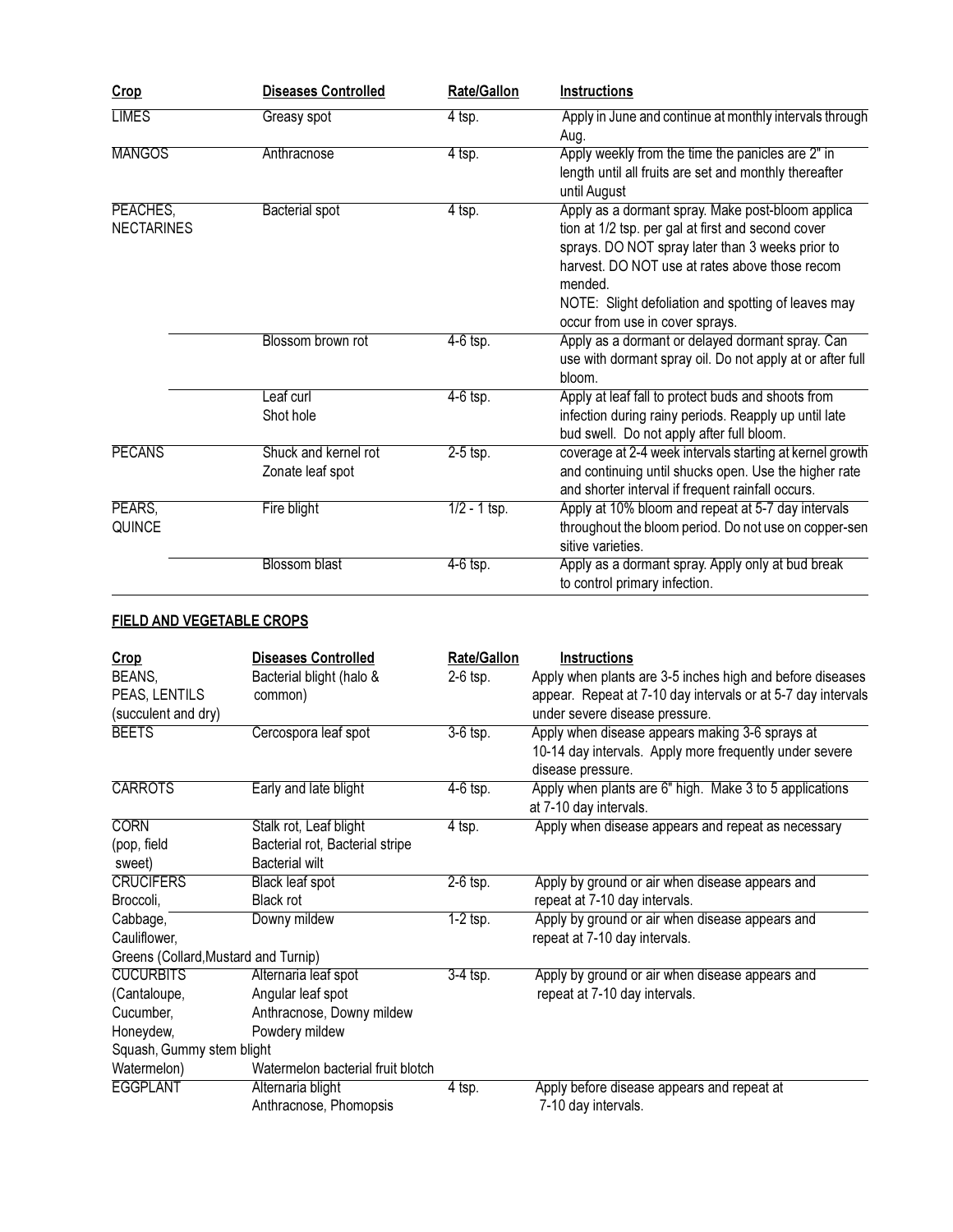| Crop                          | <b>Diseases Controlled</b>               | Rate/Gallon    | <b>Instructions</b>                                                                                                                                                                                                                                                                                                |
|-------------------------------|------------------------------------------|----------------|--------------------------------------------------------------------------------------------------------------------------------------------------------------------------------------------------------------------------------------------------------------------------------------------------------------------|
| <b>LIMES</b>                  | Greasy spot                              | $4$ tsp.       | Apply in June and continue at monthly intervals through<br>Aug.                                                                                                                                                                                                                                                    |
| <b>MANGOS</b>                 | Anthracnose                              | $4$ tsp.       | Apply weekly from the time the panicles are 2" in<br>length until all fruits are set and monthly thereafter<br>until August                                                                                                                                                                                        |
| PEACHES,<br><b>NECTARINES</b> | <b>Bacterial spot</b>                    | $4$ tsp.       | Apply as a dormant spray. Make post-bloom applica<br>tion at 1/2 tsp. per gal at first and second cover<br>sprays. DO NOT spray later than 3 weeks prior to<br>harvest. DO NOT use at rates above those recom<br>mended.<br>NOTE: Slight defoliation and spotting of leaves may<br>occur from use in cover sprays. |
|                               | Blossom brown rot                        | $4-6$ tsp.     | Apply as a dormant or delayed dormant spray. Can<br>use with dormant spray oil. Do not apply at or after full<br>bloom.                                                                                                                                                                                            |
|                               | Leaf curl<br>Shot hole                   | $4-6$ tsp.     | Apply at leaf fall to protect buds and shoots from<br>infection during rainy periods. Reapply up until late<br>bud swell. Do not apply after full bloom.                                                                                                                                                           |
| <b>PECANS</b>                 | Shuck and kernel rot<br>Zonate leaf spot | $2-5$ tsp.     | coverage at 2-4 week intervals starting at kernel growth<br>and continuing until shucks open. Use the higher rate<br>and shorter interval if frequent rainfall occurs.                                                                                                                                             |
| PEARS,<br>QUINCE              | Fire blight                              | $1/2 - 1$ tsp. | Apply at 10% bloom and repeat at 5-7 day intervals<br>throughout the bloom period. Do not use on copper-sen<br>sitive varieties.                                                                                                                                                                                   |
|                               | <b>Blossom blast</b>                     | $4-6$ tsp.     | Apply as a dormant spray. Apply only at bud break<br>to control primary infection.                                                                                                                                                                                                                                 |

# FIELD AND VEGETABLE CROPS

| Crop                                 | <b>Diseases Controlled</b>        | <b>Rate/Gallon</b> | Instructions                                                 |
|--------------------------------------|-----------------------------------|--------------------|--------------------------------------------------------------|
| BEANS,                               | Bacterial blight (halo &          | 2-6 tsp.           | Apply when plants are 3-5 inches high and before diseases    |
| PEAS, LENTILS                        | common)                           |                    | appear. Repeat at 7-10 day intervals or at 5-7 day intervals |
| (succulent and dry)                  |                                   |                    | under severe disease pressure.                               |
| <b>BEETS</b>                         | Cercospora leaf spot              | $3-6$ tsp.         | Apply when disease appears making 3-6 sprays at              |
|                                      |                                   |                    | 10-14 day intervals. Apply more frequently under severe      |
|                                      |                                   |                    | disease pressure.                                            |
| <b>CARROTS</b>                       | Early and late blight             | 4-6 tsp.           | Apply when plants are 6" high. Make 3 to 5 applications      |
|                                      |                                   |                    | at 7-10 day intervals.                                       |
| <b>CORN</b>                          | Stalk rot, Leaf blight            | $4$ tsp.           | Apply when disease appears and repeat as necessary           |
| (pop, field                          | Bacterial rot, Bacterial stripe   |                    |                                                              |
| sweet)                               | <b>Bacterial wilt</b>             |                    |                                                              |
| <b>CRUCIFERS</b>                     | <b>Black leaf spot</b>            | $2-6$ tsp.         | Apply by ground or air when disease appears and              |
| Broccoli,                            | Black rot                         |                    | repeat at 7-10 day intervals.                                |
| Cabbage,                             | Downy mildew                      | $1-2$ tsp.         | Apply by ground or air when disease appears and              |
| Cauliflower,                         |                                   |                    | repeat at 7-10 day intervals.                                |
| Greens (Collard, Mustard and Turnip) |                                   |                    |                                                              |
| <b>CUCURBITS</b>                     | Alternaria leaf spot              | $3-4$ tsp.         | Apply by ground or air when disease appears and              |
| (Cantaloupe,                         | Angular leaf spot                 |                    | repeat at 7-10 day intervals.                                |
| Cucumber,                            | Anthracnose, Downy mildew         |                    |                                                              |
| Honeydew,                            | Powdery mildew                    |                    |                                                              |
| Squash, Gummy stem blight            |                                   |                    |                                                              |
| Watermelon)                          | Watermelon bacterial fruit blotch |                    |                                                              |
| <b>EGGPLANT</b>                      | Alternaria blight                 | 4 tsp.             | Apply before disease appears and repeat at                   |
|                                      | Anthracnose, Phomopsis            |                    | 7-10 day intervals.                                          |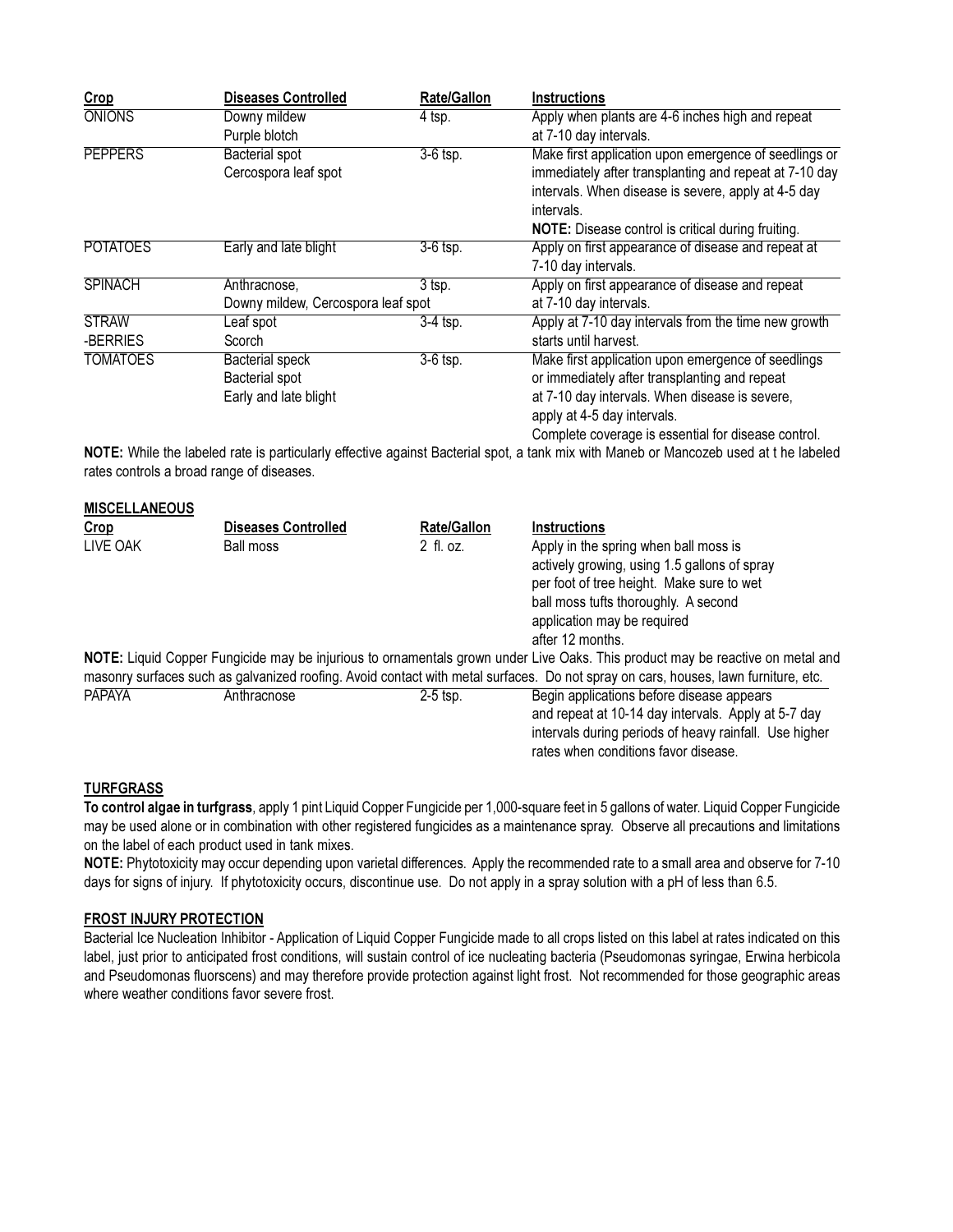| Crop                 | <b>Diseases Controlled</b>                | Rate/Gallon        | Instructions                                                                                                                          |
|----------------------|-------------------------------------------|--------------------|---------------------------------------------------------------------------------------------------------------------------------------|
| <b>ONIONS</b>        | Downy mildew<br>Purple blotch             | $4$ tsp.           | Apply when plants are 4-6 inches high and repeat<br>at 7-10 day intervals.                                                            |
| <b>PEPPERS</b>       | <b>Bacterial spot</b>                     | $3-6$ tsp.         | Make first application upon emergence of seedlings or                                                                                 |
|                      | Cercospora leaf spot                      |                    | immediately after transplanting and repeat at 7-10 day                                                                                |
|                      |                                           |                    | intervals. When disease is severe, apply at 4-5 day                                                                                   |
|                      |                                           |                    | intervals.                                                                                                                            |
|                      |                                           |                    | NOTE: Disease control is critical during fruiting.                                                                                    |
| <b>POTATOES</b>      | Early and late blight                     | $3-6$ tsp.         | Apply on first appearance of disease and repeat at                                                                                    |
|                      |                                           |                    | 7-10 day intervals.                                                                                                                   |
| <b>SPINACH</b>       | Anthracnose,                              | $3$ tsp.           | Apply on first appearance of disease and repeat                                                                                       |
|                      | Downy mildew, Cercospora leaf spot        |                    | at 7-10 day intervals.                                                                                                                |
| <b>STRAW</b>         | Leaf spot                                 | $3-4$ tsp.         | Apply at 7-10 day intervals from the time new growth                                                                                  |
| -BERRIES             | Scorch                                    |                    | starts until harvest.                                                                                                                 |
| <b>TOMATOES</b>      | <b>Bacterial speck</b>                    | $3-6$ tsp.         | Make first application upon emergence of seedlings                                                                                    |
|                      | <b>Bacterial spot</b>                     |                    | or immediately after transplanting and repeat                                                                                         |
|                      | Early and late blight                     |                    | at 7-10 day intervals. When disease is severe,                                                                                        |
|                      |                                           |                    | apply at 4-5 day intervals.                                                                                                           |
|                      |                                           |                    | Complete coverage is essential for disease control.                                                                                   |
|                      | rates controls a broad range of diseases. |                    | NOTE: While the labeled rate is particularly effective against Bacterial spot, a tank mix with Maneb or Mancozeb used at t he labeled |
| <b>MISCELLANEOUS</b> |                                           |                    |                                                                                                                                       |
| Crop                 | Diseases Controlled                       | <b>Rate/Gallon</b> | <b>Instructions</b>                                                                                                                   |
| LIVE OAK             | <b>Ball moss</b>                          | 2 fl. oz.          | Apply in the spring when ball moss is                                                                                                 |
|                      |                                           |                    | actively growing, using 1.5 gallons of spray                                                                                          |
|                      |                                           |                    | per foot of tree height. Make sure to wet                                                                                             |
|                      |                                           |                    | ball moss tufts thoroughly. A second                                                                                                  |
|                      |                                           |                    | application may be required                                                                                                           |
|                      |                                           |                    | after 12 months.                                                                                                                      |
|                      |                                           |                    | NOTE: Liquid Copper Fungicide may be injurious to ornamentals grown under Live Oaks. This product may be reactive on metal and        |
|                      |                                           |                    | masonry surfaces such as galvanized roofing. Avoid contact with metal surfaces. Do not spray on cars, houses, lawn furniture, etc.    |
| <b>PAPAYA</b>        | Anthracnose                               | $2-5$ tsp.         | Begin applications before disease appears                                                                                             |
|                      |                                           |                    | and repeat at 10-14 day intervals. Apply at 5-7 day                                                                                   |
|                      |                                           |                    | intervals during periods of heavy rainfall. Use higher                                                                                |

#### **TURFGRASS**

To control algae in turfgrass, apply 1 pint Liquid Copper Fungicide per 1,000-square feet in 5 gallons of water. Liquid Copper Fungicide may be used alone or in combination with other registered fungicides as a maintenance spray. Observe all precautions and limitations on the label of each product used in tank mixes.

rates when conditions favor disease.

NOTE: Phytotoxicity may occur depending upon varietal differences. Apply the recommended rate to a small area and observe for 7-10 days for signs of injury. If phytotoxicity occurs, discontinue use. Do not apply in a spray solution with a pH of less than 6.5.

#### **FROST INJURY PROTECTION**

Bacterial Ice Nucleation Inhibitor - Application of Liquid Copper Fungicide made to all crops listed on this label at rates indicated on this label, just prior to anticipated frost conditions, will sustain control of ice nucleating bacteria (Pseudomonas syringae, Erwina herbicola and Pseudomonas fluorscens) and may therefore provide protection against light frost. Not recommended for those geographic areas where weather conditions favor severe frost.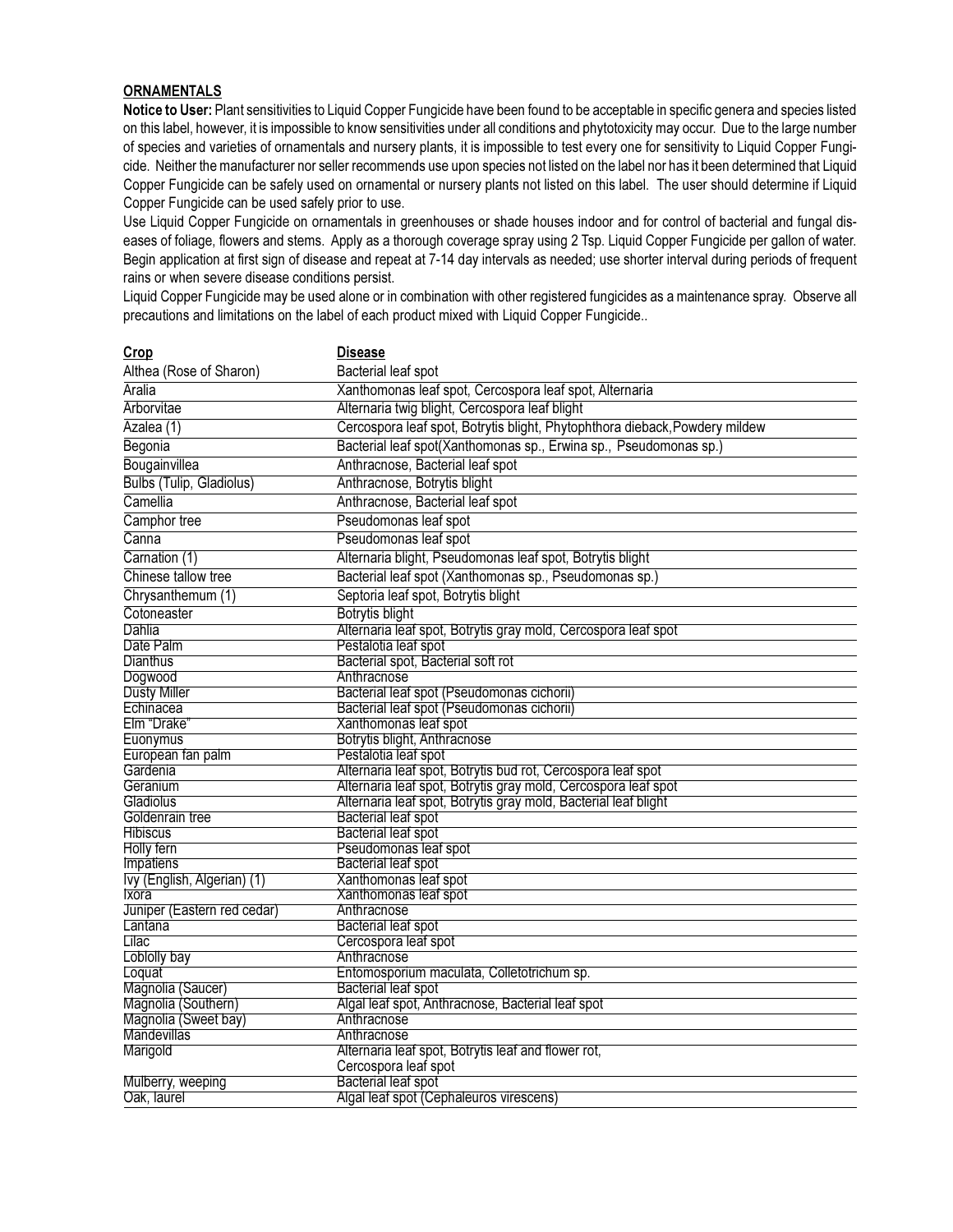#### **ORNAMENTALS**

Notice to User: Plant sensitivities to Liquid Copper Fungicide have been found to be acceptable in specific genera and species listed on this label, however, it is impossible to know sensitivities under all conditions and phytotoxicity may occur. Due to the large number of species and varieties of ornamentals and nursery plants, it is impossible to test every one for sensitivity to Liquid Copper Fungicide. Neither the manufacturer nor seller recommends use upon species not listed on the label nor has it been determined that Liquid Copper Fungicide can be safely used on ornamental or nursery plants not listed on this label. The user should determine if Liquid Copper Fungicide can be used safely prior to use.

Use Liquid Copper Fungicide on ornamentals in greenhouses or shade houses indoor and for control of bacterial and fungal diseases of foliage, flowers and stems. Apply as a thorough coverage spray using 2 Tsp. Liquid Copper Fungicide per gallon of water. Begin application at first sign of disease and repeat at 7-14 day intervals as needed; use shorter interval during periods of frequent rains or when severe disease conditions persist.

Liquid Copper Fungicide may be used alone or in combination with other registered fungicides as a maintenance spray. Observe all precautions and limitations on the label of each product mixed with Liquid Copper Fungicide..

 $\mathbf{R}$ 

| <u>Grop</u>                 | <b>Disease</b>                                                              |
|-----------------------------|-----------------------------------------------------------------------------|
| Althea (Rose of Sharon)     | Bacterial leaf spot                                                         |
| <b>Aralia</b>               | Xanthomonas leaf spot, Cercospora leaf spot, Alternaria                     |
| Arborvitae                  | Alternaria twig blight, Cercospora leaf blight                              |
| Azalea (1)                  | Cercospora leaf spot, Botrytis blight, Phytophthora dieback, Powdery mildew |
| Begonia                     | Bacterial leaf spot(Xanthomonas sp., Erwina sp., Pseudomonas sp.)           |
| Bougainvillea               | Anthracnose, Bacterial leaf spot                                            |
| Bulbs (Tulip, Gladiolus)    | Anthracnose, Botrytis blight                                                |
| Camellia                    | Anthracnose, Bacterial leaf spot                                            |
| Camphor tree                | Pseudomonas leaf spot                                                       |
| C <sub>anna</sub>           | Pseudomonas leaf spot                                                       |
| Carnation (1)               | Alternaria blight, Pseudomonas leaf spot, Botrytis blight                   |
| Chinese tallow tree         | Bacterial leaf spot (Xanthomonas sp., Pseudomonas sp.)                      |
| Chrysanthemum (1)           | Septoria leaf spot, Botrytis blight                                         |
| Cotoneaster                 | <b>Botrytis blight</b>                                                      |
| Dahlia                      | Alternaria leaf spot, Botrytis gray mold, Cercospora leaf spot              |
| Date Palm                   | Pestalotia leaf spot                                                        |
| Dianthus                    | Bacterial spot, Bacterial soft rot                                          |
| Dogwood                     | Anthracnose                                                                 |
| <b>Dusty Miller</b>         | Bacterial leaf spot (Pseudomonas cichorii)                                  |
| Echinacea                   | Bacterial leaf spot (Pseudomonas cichorii)                                  |
| Elm "Drake"                 | Xanthomonas leaf spot                                                       |
| Euonymus                    | Botrytis blight, Anthracnose                                                |
| European fan palm           | Pestalotia leaf spot                                                        |
| Gardenia                    | Alternaria leaf spot, Botrytis bud rot, Cercospora leaf spot                |
| Geranium                    | Alternaria leaf spot, Botrytis gray mold, Cercospora leaf spot              |
| Gladiolus                   | Alternaria leaf spot, Botrytis gray mold, Bacterial leaf blight             |
| Goldenrain tree             | <b>Bacterial leaf spot</b>                                                  |
| <b>Hibiscus</b>             | Bacterial leaf spot                                                         |
| <b>Holly fern</b>           | Pseudomonas leaf spot                                                       |
| <b>Impatiens</b>            | Bacterial leaf spot                                                         |
| Ivy (English, Algerian) (1) | Xanthomonas leaf spot                                                       |
| Ixora                       | Xanthomonas leaf spot                                                       |
| Juniper (Eastern red cedar) | Anthracnose                                                                 |
| Lantana                     | Bacterial leaf spot                                                         |
| <b>Lilac</b>                | Cercospora leaf spot                                                        |
| Loblolly bay                | Anthracnose                                                                 |
| Loquat                      | Entomosporium maculata, Colletotrichum sp.                                  |
| Magnolia (Saucer)           | Bacterial leaf spot                                                         |
| Magnolia (Southern)         | Algal leaf spot, Anthracnose, Bacterial leaf spot                           |
| Magnolia (Sweet bay)        | Anthracnose                                                                 |
| Mandevillas                 | Anthracnose                                                                 |
| Marigold                    | Alternaria leaf spot, Botrytis leaf and flower rot,                         |
|                             | Cercospora leaf spot                                                        |
| Mulberry, weeping           | Bacterial leaf spot                                                         |
| Oak, laurel                 | Algal leaf spot (Cephaleuros virescens)                                     |